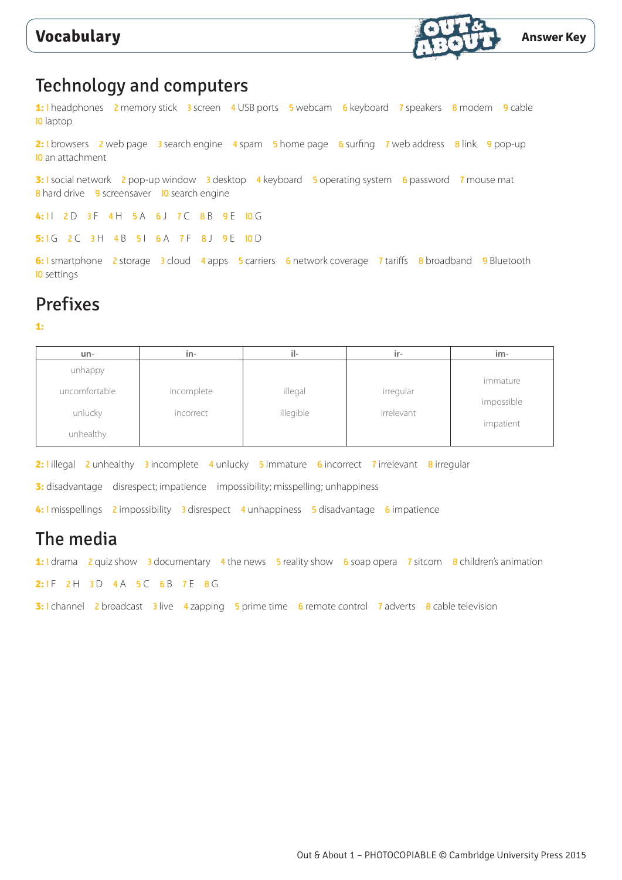

# Technology and computers

1: 1 headphones 2 memory stick 3 screen 4 USB ports 5 webcam 6 keyboard 7 speakers 8 modem 9 cable 10 laptop

2: 1 browsers 2 web page 3 search engine 4 spam 5 home page 6 surfing 7 web address 8 link 9 pop-up 10 an attachment

**3: 1** social network 2 pop-up window 3 desktop 4 keyboard 5 operating system 6 password 7 mouse mat 8 hard drive 9 screensaver 10 search engine

4:11 2 D 3 F 4 H 5 A 6 J 7 C 8 B 9 E 10 G

5: 1 G 2 C 3 H 4 B 5 I 6 A 7 F 8 J 9 E 10 D

**6:** 1 smartphone 2 storage 3 cloud 4 apps 5 carriers 6 network coverage 7 tariffs 8 broadband 9 Bluetooth 10 settings

# Prefixes

**1:**

| un-           | in-        | il-       | ir-        | $im-$      |
|---------------|------------|-----------|------------|------------|
| unhappy       |            |           |            |            |
| uncomfortable | incomplete | illegal   | irregular  | immature   |
|               |            |           |            | impossible |
| unlucky       | incorrect  | illegible | irrelevant |            |
| unhealthy     |            |           |            | impatient  |

2: **1** illegal 2 unhealthy 3 incomplete 4 unlucky 5 immature 6 incorrect 7 irrelevant 8 irregular

**3:** disadvantage disrespect; impatience impossibility; misspelling; unhappiness

4: I misspellings 2 impossibility 3 disrespect 4 unhappiness 5 disadvantage 6 impatience

### The media

**1:** 1 drama 2 quiz show 3 documentary 4 the news 5 reality show 6 soap opera 7 sitcom 8 children's animation

**2: 1 F 2 H 3 D 4 A 5 C 6 B 7 E 8 G** 

**3:** 1 channel 2 broadcast 3 live 4 zapping 5 prime time 6 remote control 7 adverts 8 cable television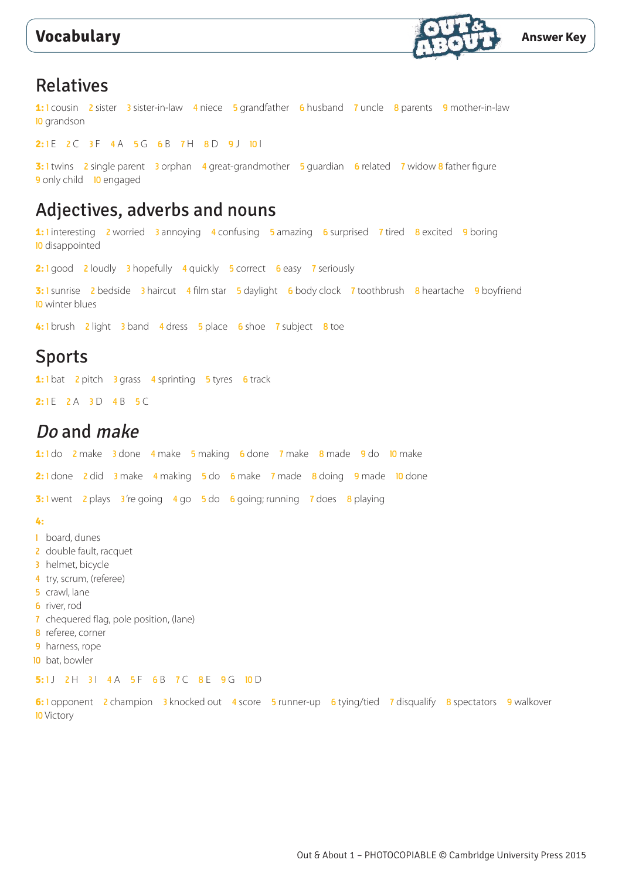

### Relatives

**1:** 1 cousin 2 sister 3 sister-in-law 4 niece 5 grandfather 6 husband 7 uncle 8 parents 9 mother-in-law 10 grandson

2:1E 2C 3F 4A 5G 6B 7H 8D 9J 101

**3: 1** twins 2 single parent 3 orphan 4 great-grandmother 5 guardian 6 related 7 widow 8 father figure 9 only child **10** engaged

### Adjectives, adverbs and nouns

1: linteresting 2 worried 3 annoying 4 confusing 5 amazing 6 surprised 7 tired 8 excited 9 boring **10** disappointed

2: 1 good 2 loudly 3 hopefully 4 quickly 5 correct 6 easy 7 seriously

**3:** I sunrise 2 bedside 3 haircut 4 film star 5 daylight 6 body clock 7 toothbrush 8 heartache 9 boyfriend 10 winter blues

**4:** 1 brush 2 light 3 band 4 dress 5 place 6 shoe 7 subject 8 toe

### Sports

1: I bat 2 pitch 3 grass 4 sprinting 5 tyres 6 track

2: **1E** 2 A 3 D 4 B 5 C

### Do and make

**1:** 1 do 2 make 3 done 4 make 5 making 6 done 7 make 8 made 9 do 10 make

2: 1 done 2 did 3 make 4 making 5 do 6 make 7 made 8 doing 9 made 10 done

**3:** I went 2 plays 3're going 4 go 5 do 6 going; running 7 does 8 playing

#### **4:**

- 1 board, dunes
- 2 double fault, racquet
- 3 helmet, bicycle
- 4 try, scrum, (referee)
- 5 crawl, lane
- 6 river, rod
- 7 chequered flag, pole position, (lane)
- 8 referee, corner
- 9 harness, rope
- 10 bat, bowler

#### 5: 1 J 2 H 3 I 4 A 5 F 6 B 7 C 8 E 9 G 10 D

**6: 1** opponent 2 champion 3 knocked out 4 score 5 runner-up 6 tying/tied 7 disqualify 8 spectators 9 walkover **10** Victory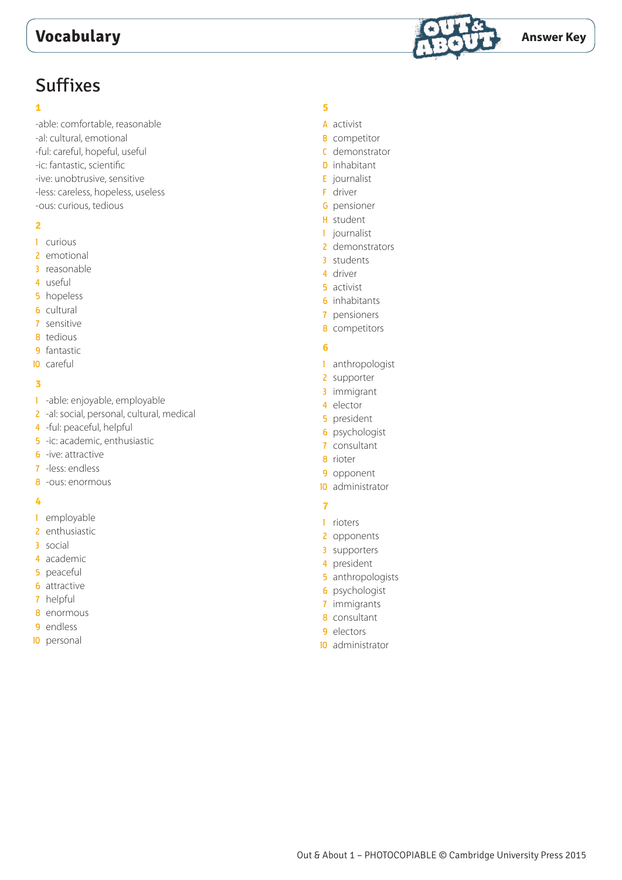

# Suffixes

#### 

-able: comfortable, reasonable -al: cultural, emotional -ful: careful, hopeful, useful -ic: fantastic, scientific -ive: unobtrusive, sensitive -less: careless, hopeless, useless -ous: curious, tedious

#### 

- curious
- emotional
- reasonable
- useful
- hopeless
- cultural
- sensitive
- tedious
- fantastic
- careful

### 

- -able: enjoyable, employable
- 2 -al: social, personal, cultural, medical
- -ful: peaceful, helpful
- -ic: academic, enthusiastic
- -ive: attractive
- -less: endless
- -ous: enormous

#### 

- employable
- enthusiastic
- social
- academic
- peaceful
- attractive
- helpful
- enormous
- endless
- personal

### 

- A activist
- **B** competitor
- C demonstrator
- **D** inhabitant
- E journalist
- F driver
- G pensioner
- H student
- journalist
- 2 demonstrators
- students
- driver
- activist
- inhabitants pensioners
- competitors
- 

### 

- anthropologist
- supporter
- immigrant
- elector
- president
- psychologist
- consultant
- rioter
- opponent
- administrator

### 

- rioters
- opponents
- supporters
- president
- anthropologists
- psychologist
- immigrants
- consultant
- electors
- administrator